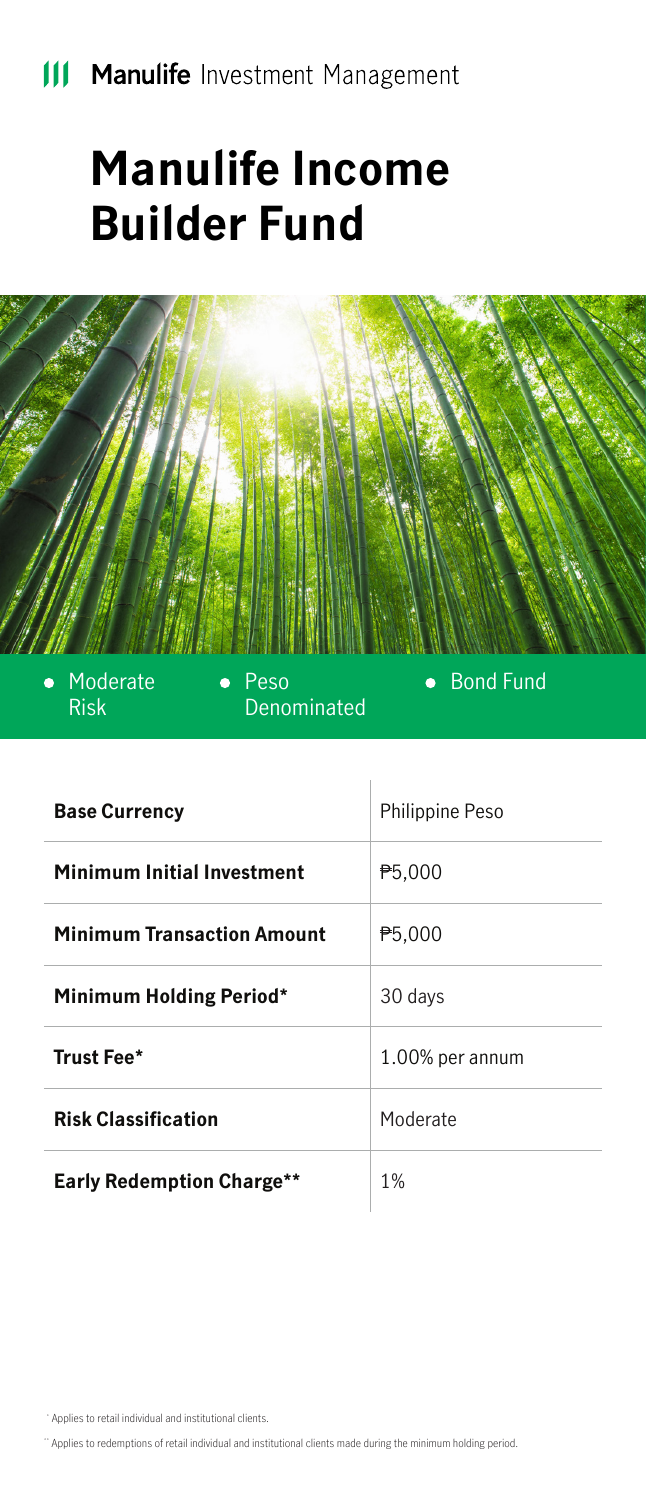## **Manulife Income Builder Fund**



Denominated

| <b>Base Currency</b>              | Philippine Peso     |
|-----------------------------------|---------------------|
| <b>Minimum Initial Investment</b> | P <sub>5</sub> ,000 |
| <b>Minimum Transaction Amount</b> | <b>P5,000</b>       |
| <b>Minimum Holding Period*</b>    | 30 days             |
| Trust Fee*                        | 1.00% per annum     |
| <b>Risk Classification</b>        | Moderate            |
| <b>Early Redemption Charge**</b>  | 1%                  |

\* Applies to retail individual and institutional clients.

Risk

\*\* Applies to redemptions of retail individual and institutional clients made during the minimum holding period.